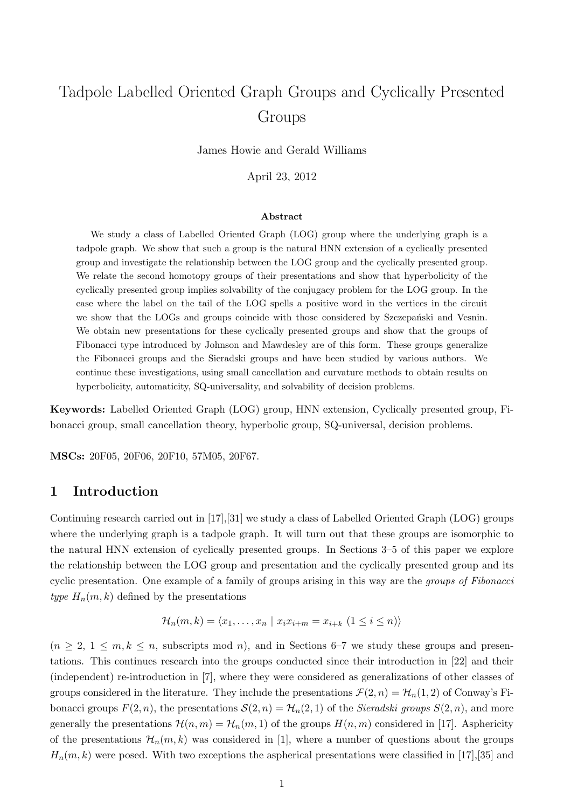# Tadpole Labelled Oriented Graph Groups and Cyclically Presented Groups

James Howie and Gerald Williams

April 23, 2012

### Abstract

We study a class of Labelled Oriented Graph (LOG) group where the underlying graph is a tadpole graph. We show that such a group is the natural HNN extension of a cyclically presented group and investigate the relationship between the LOG group and the cyclically presented group. We relate the second homotopy groups of their presentations and show that hyperbolicity of the cyclically presented group implies solvability of the conjugacy problem for the LOG group. In the case where the label on the tail of the LOG spells a positive word in the vertices in the circuit we show that the LOGs and groups coincide with those considered by Szczepański and Vesnin. We obtain new presentations for these cyclically presented groups and show that the groups of Fibonacci type introduced by Johnson and Mawdesley are of this form. These groups generalize the Fibonacci groups and the Sieradski groups and have been studied by various authors. We continue these investigations, using small cancellation and curvature methods to obtain results on hyperbolicity, automaticity, SQ-universality, and solvability of decision problems.

Keywords: Labelled Oriented Graph (LOG) group, HNN extension, Cyclically presented group, Fibonacci group, small cancellation theory, hyperbolic group, SQ-universal, decision problems.

MSCs: 20F05, 20F06, 20F10, 57M05, 20F67.

### 1 Introduction

Continuing research carried out in [17],[31] we study a class of Labelled Oriented Graph (LOG) groups where the underlying graph is a tadpole graph. It will turn out that these groups are isomorphic to the natural HNN extension of cyclically presented groups. In Sections 3–5 of this paper we explore the relationship between the LOG group and presentation and the cyclically presented group and its cyclic presentation. One example of a family of groups arising in this way are the *groups of Fibonacci* type  $H_n(m, k)$  defined by the presentations

$$
\mathcal{H}_n(m,k) = \langle x_1, \ldots, x_n \mid x_i x_{i+m} = x_{i+k} \ (1 \leq i \leq n) \rangle
$$

 $(n \geq 2, 1 \leq m, k \leq n,$  subscripts mod n), and in Sections 6–7 we study these groups and presentations. This continues research into the groups conducted since their introduction in [22] and their (independent) re-introduction in [7], where they were considered as generalizations of other classes of groups considered in the literature. They include the presentations  $\mathcal{F}(2, n) = \mathcal{H}_n(1, 2)$  of Conway's Fibonacci groups  $F(2, n)$ , the presentations  $\mathcal{S}(2, n) = \mathcal{H}_n(2, 1)$  of the Sieradski groups  $S(2, n)$ , and more generally the presentations  $\mathcal{H}(n,m) = \mathcal{H}_n(m,1)$  of the groups  $H(n,m)$  considered in [17]. Asphericity of the presentations  $\mathcal{H}_n(m,k)$  was considered in [1], where a number of questions about the groups  $H_n(m, k)$  were posed. With two exceptions the aspherical presentations were classified in [17],[35] and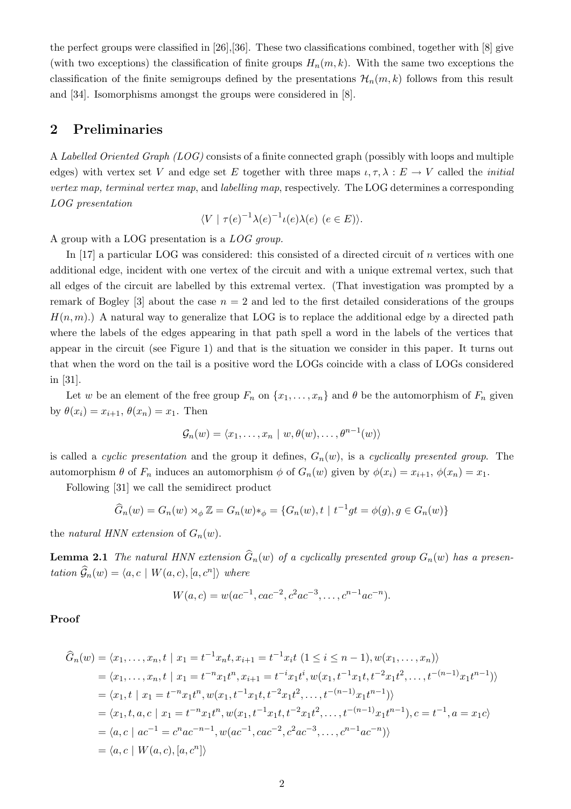the perfect groups were classified in [26],[36]. These two classifications combined, together with [8] give (with two exceptions) the classification of finite groups  $H_n(m, k)$ . With the same two exceptions the classification of the finite semigroups defined by the presentations  $\mathcal{H}_n(m, k)$  follows from this result and [34]. Isomorphisms amongst the groups were considered in [8].

### 2 Preliminaries

A Labelled Oriented Graph (LOG) consists of a finite connected graph (possibly with loops and multiple edges) with vertex set V and edge set E together with three maps  $\iota, \tau, \lambda : E \to V$  called the *initial* vertex map, terminal vertex map, and labelling map, respectively. The LOG determines a corresponding LOG presentation

$$
\langle V \mid \tau(e)^{-1} \lambda(e)^{-1} \iota(e) \lambda(e) \ (e \in E) \rangle.
$$

A group with a LOG presentation is a LOG group.

In [17] a particular LOG was considered: this consisted of a directed circuit of n vertices with one additional edge, incident with one vertex of the circuit and with a unique extremal vertex, such that all edges of the circuit are labelled by this extremal vertex. (That investigation was prompted by a remark of Bogley [3] about the case  $n = 2$  and led to the first detailed considerations of the groups  $H(n, m)$ .) A natural way to generalize that LOG is to replace the additional edge by a directed path where the labels of the edges appearing in that path spell a word in the labels of the vertices that appear in the circuit (see Figure 1) and that is the situation we consider in this paper. It turns out that when the word on the tail is a positive word the LOGs coincide with a class of LOGs considered in [31].

Let w be an element of the free group  $F_n$  on  $\{x_1, \ldots, x_n\}$  and  $\theta$  be the automorphism of  $F_n$  given by  $\theta(x_i) = x_{i+1}, \theta(x_n) = x_1$ . Then

$$
\mathcal{G}_n(w) = \langle x_1, \dots, x_n \mid w, \theta(w), \dots, \theta^{n-1}(w) \rangle
$$

is called a cyclic presentation and the group it defines,  $G_n(w)$ , is a cyclically presented group. The automorphism  $\theta$  of  $F_n$  induces an automorphism  $\phi$  of  $G_n(w)$  given by  $\phi(x_i) = x_{i+1}, \phi(x_n) = x_1$ .

Following [31] we call the semidirect product

$$
\widehat{G}_n(w) = G_n(w) \rtimes_{\phi} \mathbb{Z} = G_n(w) *_{\phi} = \{G_n(w), t \mid t^{-1}gt = \phi(g), g \in G_n(w)\}
$$

the natural HNN extension of  $G_n(w)$ .

**Lemma 2.1** The natural HNN extension  $\widehat{G}_n(w)$  of a cyclically presented group  $G_n(w)$  has a presentation  $\widehat{\mathcal{G}}_n(w) = \langle a, c \mid W(a, c), [a, c^n] \rangle$  where

$$
W(a,c) = w(ac^{-1}, cac^{-2}, c^2ac^{-3}, \dots, c^{n-1}ac^{-n}).
$$

Proof

$$
\begin{split}\n\widehat{G}_n(w) &= \langle x_1, \dots, x_n, t \mid x_1 = t^{-1}x_n t, x_{i+1} = t^{-1}x_i t \ (1 \leq i \leq n-1), w(x_1, \dots, x_n) \rangle \\
&= \langle x_1, \dots, x_n, t \mid x_1 = t^{-n}x_1 t^n, x_{i+1} = t^{-i}x_1 t^i, w(x_1, t^{-1}x_1 t, t^{-2}x_1 t^2, \dots, t^{-(n-1)}x_1 t^{n-1}) \rangle \\
&= \langle x_1, t \mid x_1 = t^{-n}x_1 t^n, w(x_1, t^{-1}x_1 t, t^{-2}x_1 t^2, \dots, t^{-(n-1)}x_1 t^{n-1}) \rangle \\
&= \langle x_1, t, a, c \mid x_1 = t^{-n}x_1 t^n, w(x_1, t^{-1}x_1 t, t^{-2}x_1 t^2, \dots, t^{-(n-1)}x_1 t^{n-1}), c = t^{-1}, a = x_1 c \rangle \\
&= \langle a, c \mid ac^{-1} = c^n ac^{-n-1}, w(ac^{-1}, cac^{-2}, c^2 ac^{-3}, \dots, c^{n-1}ac^{-n}) \rangle \\
&= \langle a, c \mid W(a, c), [a, c^n] \rangle\n\end{split}
$$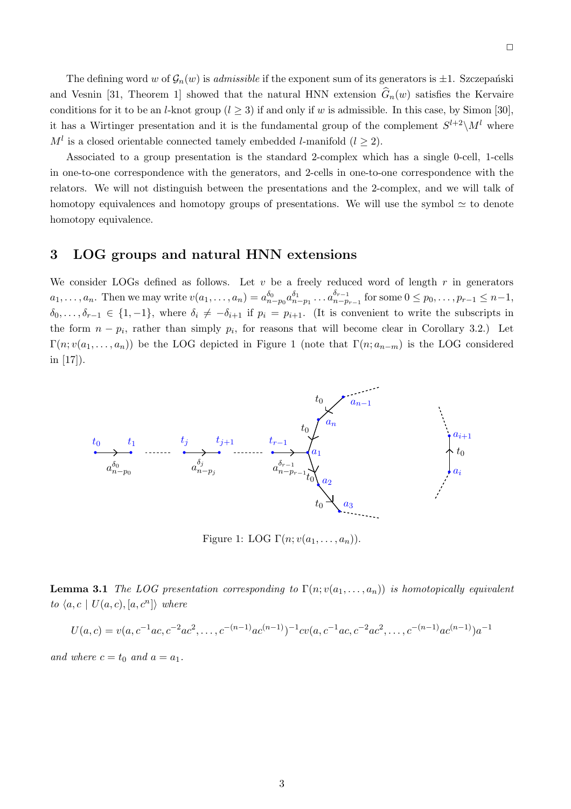The defining word w of  $\mathcal{G}_n(w)$  is *admissible* if the exponent sum of its generators is  $\pm 1$ . Szczepański and Vesnin [31, Theorem 1] showed that the natural HNN extension  $\hat{G}_n(w)$  satisfies the Kervaire conditions for it to be an *l*-knot group  $(l \ge 3)$  if and only if w is admissible. In this case, by Simon [30], it has a Wirtinger presentation and it is the fundamental group of the complement  $S^{l+2}\setminus M^l$  where  $M<sup>l</sup>$  is a closed orientable connected tamely embedded *l*-manifold ( $l \geq 2$ ).

Associated to a group presentation is the standard 2-complex which has a single 0-cell, 1-cells in one-to-one correspondence with the generators, and 2-cells in one-to-one correspondence with the relators. We will not distinguish between the presentations and the 2-complex, and we will talk of homotopy equivalences and homotopy groups of presentations. We will use the symbol  $\simeq$  to denote homotopy equivalence.

### 3 LOG groups and natural HNN extensions

We consider LOGs defined as follows. Let  $v$  be a freely reduced word of length  $r$  in generators  $a_1, \ldots, a_n$ . Then we may write  $v(a_1, \ldots, a_n) = a_{n-p_0}^{\delta_0} a_{n-p_1}^{\delta_1} \ldots a_{n-p}^{\delta_{n-1}}$  $p_{r-1}^{o_{r-1}}$  for some  $0 \leq p_0, \ldots, p_{r-1} \leq n-1$ ,  $\delta_0, \ldots, \delta_{r-1} \in \{1, -1\}$ , where  $\delta_i \neq -\delta_{i+1}$  if  $p_i = p_{i+1}$ . (It is convenient to write the subscripts in the form  $n - p_i$ , rather than simply  $p_i$ , for reasons that will become clear in Corollary 3.2.) Let  $\Gamma(n; v(a_1, \ldots, a_n))$  be the LOG depicted in Figure 1 (note that  $\Gamma(n; a_{n-m})$  is the LOG considered in [17]).



Figure 1: LOG  $\Gamma(n; v(a_1, \ldots, a_n)).$ 

**Lemma 3.1** The LOG presentation corresponding to  $\Gamma(n; v(a_1, \ldots, a_n))$  is homotopically equivalent to  $\langle a, c \mid U(a, c), [a, c^n] \rangle$  where

$$
U(a,c) = v(a,c^{-1}ac,c^{-2}ac^2,\ldots,c^{-(n-1)}ac^{(n-1)})^{-1}cv(a,c^{-1}ac,c^{-2}ac^2,\ldots,c^{-(n-1)}ac^{(n-1)})a^{-1}
$$

and where  $c = t_0$  and  $a = a_1$ .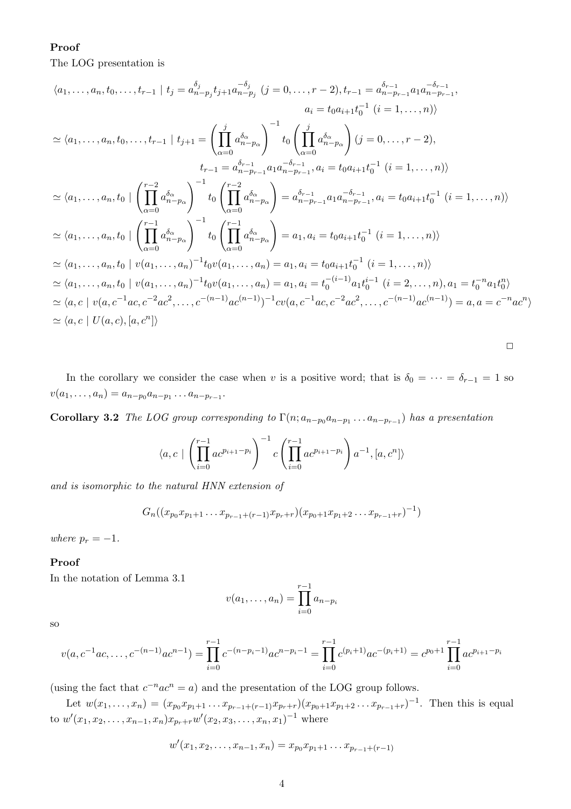### Proof

The LOG presentation is

$$
\langle a_1, \ldots, a_n, t_0, \ldots, t_{r-1} | t_j = a_{n-p_j}^{\delta_j} t_{j+1} a_{n-p_j}^{-\delta_j} (j = 0, \ldots, r-2), t_{r-1} = a_{n-p_{r-1}}^{\delta_{r-1}} a_1 a_{n-p_{r-1}}^{-\delta_{r-1}},
$$
  
\n
$$
a_i = t_0 a_{i+1} t_0^{-1} (i = 1, \ldots, n) \rangle
$$
  
\n
$$
\simeq \langle a_1, \ldots, a_n, t_0, \ldots, t_{r-1} | t_{j+1} = \left( \prod_{\alpha=0}^j a_{n-p_\alpha}^{\delta_\alpha} \right)^{-1} t_0 \left( \prod_{\alpha=0}^j a_{n-p_\alpha}^{\delta_\alpha} \right) (j = 0, \ldots, r-2),
$$
  
\n
$$
t_{r-1} = a_{n-p_{r-1}}^{\delta_{r-1}} a_1 a_{n-p_{r-1}}^{-\delta_{r-1}} a_i = t_0 a_{i+1} t_0^{-1} (i = 1, \ldots, n) \rangle
$$
  
\n
$$
\simeq \langle a_1, \ldots, a_n, t_0 | \left( \prod_{\alpha=0}^{r-2} a_{n-p_\alpha}^{\delta_\alpha} \right)^{-1} t_0 \left( \prod_{\alpha=0}^{r-2} a_{n-p_\alpha}^{\delta_\alpha} \right) = a_{n-p_{r-1}}^{\delta_{r-1}} a_1 a_{n-p_{r-1}}^{-\delta_{r-1}} a_i = t_0 a_{i+1} t_0^{-1} (i = 1, \ldots, n) \rangle
$$
  
\n
$$
\simeq \langle a_1, \ldots, a_n, t_0 | \left( \prod_{\alpha=0}^{r-1} a_{n-p_\alpha}^{\delta_\alpha} \right)^{-1} t_0 \left( \prod_{\alpha=0}^{r-1} a_{n-p_\alpha}^{\delta_\alpha} \right) = a_1, a_i = t_0 a_{i+1} t_0^{-1} (i = 1, \ldots, n) \rangle
$$
  
\n
$$
\simeq \langle a_1, \ldots, a_n, t_0 | v(a_1, \ldots, a_n)^{-1} t_0 v(a_1, \ldots, a_n) = a_1, a_i = t_
$$

In the corollary we consider the case when v is a positive word; that is  $\delta_0 = \cdots = \delta_{r-1} = 1$  so  $v(a_1, \ldots, a_n) = a_{n-p_0} a_{n-p_1} \ldots a_{n-p_{r-1}}.$ 

**Corollary 3.2** The LOG group corresponding to  $\Gamma(n; a_{n-p_0}a_{n-p_1} \ldots a_{n-p_{r-1}})$  has a presentation

$$
\langle a, c \mid \left( \prod_{i=0}^{r-1} a c^{p_{i+1}-p_i} \right)^{-1} c \left( \prod_{i=0}^{r-1} a c^{p_{i+1}-p_i} \right) a^{-1}, [a, c^n] \rangle
$$

and is isomorphic to the natural HNN extension of

$$
G_n((x_{p_0}x_{p_1+1}\ldots x_{p_{r-1}+(r-1)}x_{p_r+r})(x_{p_0+1}x_{p_1+2}\ldots x_{p_{r-1}+r})^{-1})
$$

where  $p_r = -1$ .

### Proof

In the notation of Lemma 3.1

$$
v(a_1,..., a_n) = \prod_{i=0}^{r-1} a_{n-p_i}
$$

so

$$
v(a, c^{-1}ac, \dots, c^{-(n-1)}ac^{n-1}) = \prod_{i=0}^{r-1} c^{-(n-p_i-1)}ac^{n-p_i-1} = \prod_{i=0}^{r-1} c^{(p_i+1)}ac^{-(p_i+1)} = c^{p_0+1} \prod_{i=0}^{r-1} ac^{p_{i+1}-p_i}
$$

(using the fact that  $c^{-n}ac^n = a$ ) and the presentation of the LOG group follows.

Let  $w(x_1,...,x_n) = (x_{p_0}x_{p_1+1}...x_{p_{r-1}+(r-1)}x_{p_r+r})(x_{p_0+1}x_{p_1+2}...x_{p_{r-1}+r})^{-1}$ . Then this is equal to  $w'(x_1, x_2, \ldots, x_{n-1}, x_n) x_{p_r+r} w'(x_2, x_3, \ldots, x_n, x_1)^{-1}$  where

$$
w'(x_1, x_2, \ldots, x_{n-1}, x_n) = x_{p_0} x_{p_1+1} \ldots x_{p_{r-1}+(r-1)}
$$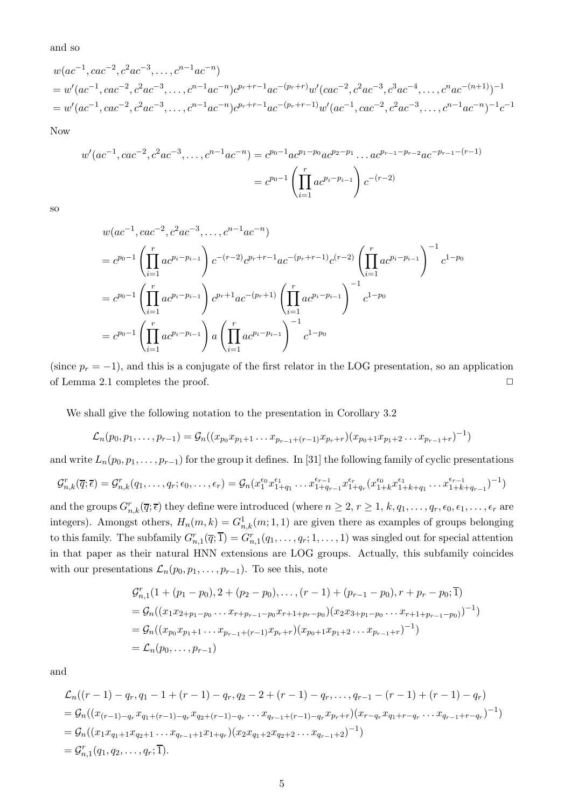and so

$$
w(ac^{-1}, cac^{-2}, c^2ac^{-3}, \dots, c^{n-1}ac^{-n})
$$
  
=  $w'(ac^{-1}, cac^{-2}, c^2ac^{-3}, \dots, c^{n-1}ac^{-n})c^{p_r+r-1}ac^{-(p_r+r)}w'(cac^{-2}, c^2ac^{-3}, c^3ac^{-4}, \dots, c^nac^{-(n+1)})^{-1}$   
=  $w'(ac^{-1}, cac^{-2}, c^2ac^{-3}, \dots, c^{n-1}ac^{-n})c^{p_r+r-1}ac^{-(p_r+r-1)}w'(ac^{-1}, cac^{-2}, c^2ac^{-3}, \dots, c^{n-1}ac^{-n})^{-1}c^{-1}$ 

Now

$$
w'(ac^{-1}, cac^{-2}, c^2ac^{-3}, \dots, c^{n-1}ac^{-n}) = c^{p_0-1}ac^{p_1-p_0}ac^{p_2-p_1}\dots ac^{p_{r-1}-p_{r-2}}ac^{-p_{r-1}-(r-1)}
$$

$$
= c^{p_0-1}\left(\prod_{i=1}^r ac^{p_i-p_{i-1}}\right)c^{-(r-2)}
$$

so

$$
w(ac^{-1}, cac^{-2}, c^2ac^{-3}, \dots, c^{n-1}ac^{-n})
$$
  
=  $c^{p_0-1} \left( \prod_{i=1}^r ac^{p_i-p_{i-1}} \right) c^{-(r-2)} c^{p_r+r-1} ac^{-(p_r+r-1)} c^{(r-2)} \left( \prod_{i=1}^r ac^{p_i-p_{i-1}} \right)^{-1} c^{1-p_0}$   
=  $c^{p_0-1} \left( \prod_{i=1}^r ac^{p_i-p_{i-1}} \right) c^{p_r+1} ac^{-(p_r+1)} \left( \prod_{i=1}^r ac^{p_i-p_{i-1}} \right)^{-1} c^{1-p_0}$   
=  $c^{p_0-1} \left( \prod_{i=1}^r ac^{p_i-p_{i-1}} \right) a \left( \prod_{i=1}^r ac^{p_i-p_{i-1}} \right)^{-1} c^{1-p_0}$ 

(since  $p_r = -1$ ), and this is a conjugate of the first relator in the LOG presentation, so an application of Lemma 2.1 completes the proof.  $\Box$ 

We shall give the following notation to the presentation in Corollary 3.2

$$
\mathcal{L}_n(p_0, p_1, \ldots, p_{r-1}) = \mathcal{G}_n((x_{p_0}x_{p_1+1} \ldots x_{p_{r-1}+(r-1)}x_{p_r+r})(x_{p_0+1}x_{p_1+2} \ldots x_{p_{r-1}+r})^{-1})
$$

and write  $L_n(p_0, p_1, \ldots, p_{r-1})$  for the group it defines. In [31] the following family of cyclic presentations

$$
\mathcal{G}_{n,k}^r(\overline{q};\overline{\epsilon}) = \mathcal{G}_{n,k}^r(q_1,\ldots,q_r;\epsilon_0,\ldots,\epsilon_r) = \mathcal{G}_n(x_1^{\epsilon_0}x_{1+q_1}^{\epsilon_1}\ldots x_{1+q_{r-1}}^{\epsilon_{r-1}}x_{1+q_r}^{\epsilon_r}(x_{1+k}^{\epsilon_0}x_{1+k+q_1}^{\epsilon_1}\ldots x_{1+k+q_{r-1}}^{\epsilon_{r-1}})^{-1})
$$

and the groups  $G_{n,k}^r(\overline{q}; \overline{\epsilon})$  they define were introduced (where  $n \geq 2, r \geq 1, k, q_1, \ldots, q_r, \epsilon_0, \epsilon_1, \ldots, \epsilon_r$  are integers). Amongst others,  $H_n(m, k) = G_{n,k}^1(m, 1, 1)$  are given there as examples of groups belonging to this family. The subfamily  $G_{n,1}^r(\overline{q};\overline{1}) = G_{n,1}^r(q_1,\ldots,q_r;1,\ldots,1)$  was singled out for special attention in that paper as their natural HNN extensions are LOG groups. Actually, this subfamily coincides with our presentations  $\mathcal{L}_n(p_0, p_1, \ldots, p_{r-1})$ . To see this, note

$$
\mathcal{G}_{n,1}^r(1 + (p_1 - p_0), 2 + (p_2 - p_0), \dots, (r - 1) + (p_{r-1} - p_0), r + p_r - p_0; \overline{1})
$$
\n
$$
= \mathcal{G}_n((x_1x_{2+p_1-p_0} \dots x_{r+p_{r-1}-p_0} x_{r+1+p_r-p_0})(x_2x_{3+p_1-p_0} \dots x_{r+1+p_{r-1}-p_0})^{-1})
$$
\n
$$
= \mathcal{G}_n((x_{p_0}x_{p_1+1} \dots x_{p_{r-1}+(r-1)} x_{p_r+r})(x_{p_0+1}x_{p_1+2} \dots x_{p_{r-1}+r})^{-1})
$$
\n
$$
= \mathcal{L}_n(p_0, \dots, p_{r-1})
$$

and

$$
\mathcal{L}_n((r-1)-q_r, q_1-1+(r-1)-q_r, q_2-2+(r-1)-q_r, \dots, q_{r-1}-(r-1)+(r-1)-q_r)
$$
\n
$$
= \mathcal{G}_n((x_{(r-1)-q_r}x_{q_1+(r-1)-q_r}x_{q_2+(r-1)-q_r}\dots x_{q_{r-1}+(r-1)-q_r}x_{p_r+r})(x_{r-q_r}x_{q_1+r-q_r}\dots x_{q_{r-1}+r-q_r})^{-1})
$$
\n
$$
= \mathcal{G}_n((x_1x_{q_1+1}x_{q_2+1}\dots x_{q_{r-1}+1}x_{1+q_r})(x_2x_{q_1+2}x_{q_2+2}\dots x_{q_{r-1}+2})^{-1})
$$
\n
$$
= \mathcal{G}_{n,1}^r(q_1, q_2, \dots, q_r; \overline{1}).
$$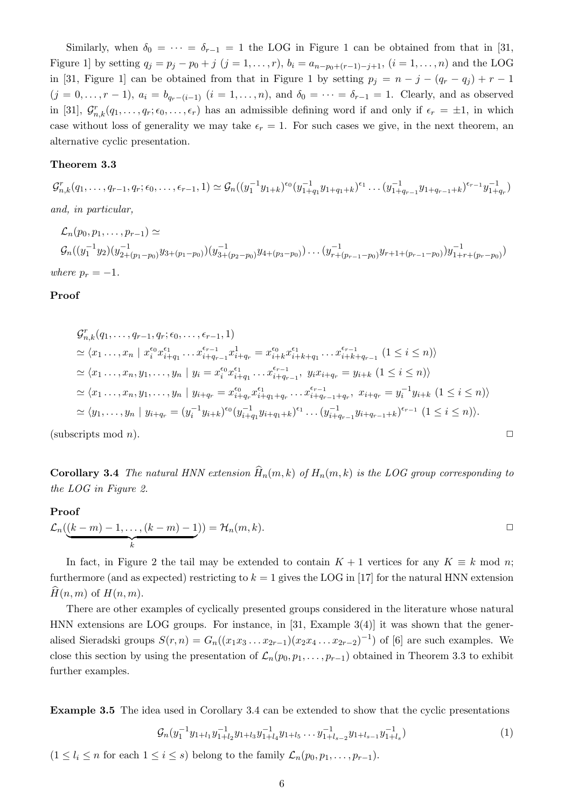Similarly, when  $\delta_0 = \cdots = \delta_{r-1} = 1$  the LOG in Figure 1 can be obtained from that in [31, Figure 1] by setting  $q_j = p_j - p_0 + j$   $(j = 1, ..., r)$ ,  $b_i = a_{n-p_0+(r-1)-j+1}$ ,  $(i = 1, ..., n)$  and the LOG in [31, Figure 1] can be obtained from that in Figure 1 by setting  $p_j = n - j - (q_r - q_j) + r - 1$  $(j = 0, \ldots, r - 1)$ ,  $a_i = b_{q_r - (i-1)}$   $(i = 1, \ldots, n)$ , and  $\delta_0 = \cdots = \delta_{r-1} = 1$ . Clearly, and as observed in [31],  $\mathcal{G}_{n,k}^r(q_1,\ldots,q_r;\epsilon_0,\ldots,\epsilon_r)$  has an admissible defining word if and only if  $\epsilon_r = \pm 1$ , in which case without loss of generality we may take  $\epsilon_r = 1$ . For such cases we give, in the next theorem, an alternative cyclic presentation.

### Theorem 3.3

 $\mathcal{G}_{n,k}^r(q_1,\ldots,q_{r-1},q_r;\epsilon_0,\ldots,\epsilon_{r-1},1) \simeq \mathcal{G}_n((y_1^{-1}y_{1+k})^{\epsilon_0}(y_{1+q_1}^{-1}y_{1+q_1+k})^{\epsilon_1}\ldots(y_{1+q_{r-1}}^{-1}y_{1+q_{r-1}+k})^{\epsilon_{r-1}}y_{1+q_r}^{-1})$ and, in particular,

$$
\mathcal{L}_n(p_0, p_1, \dots, p_{r-1}) \simeq
$$
\n
$$
\mathcal{G}_n((y_1^{-1}y_2)(y_{2+(p_1-p_0)}^{-1}y_{3+(p_1-p_0)})(y_{3+(p_2-p_0)}^{-1}y_{4+(p_3-p_0)})\dots(y_{r+(p_{r-1}-p_0)}^{-1}y_{r+1+(p_{r-1}-p_0)})y_{1+r+(p_r-p_0)}^{-1})
$$
\nwhere  $p_r = -1$ .

#### Proof

$$
G_{n,k}^{r}(q_{1},...,q_{r-1},q_{r};\epsilon_{0},..., \epsilon_{r-1}, 1)
$$
\n
$$
\simeq \langle x_{1}...,x_{n} \mid x_{i}^{\epsilon_{0}} x_{i+q_{1}}^{\epsilon_{1}}... x_{i+q_{r-1}}^{\epsilon_{r-1}} x_{i+q_{r}}^{1} = x_{i+k}^{\epsilon_{0}} x_{i+k+q_{1}}^{\epsilon_{1}}... x_{i+k+q_{r-1}}^{\epsilon_{r-1}} (1 \leq i \leq n) \rangle
$$
\n
$$
\simeq \langle x_{1},...,x_{n},y_{1},...,y_{n} \mid y_{i} = x_{i}^{\epsilon_{0}} x_{i+q_{1}}^{\epsilon_{1}}... x_{i+q_{r-1}}^{\epsilon_{r-1}}, y_{i} x_{i+q_{r}} = y_{i+k} (1 \leq i \leq n) \rangle
$$
\n
$$
\simeq \langle x_{1},...,x_{n},y_{1},...,y_{n} \mid y_{i+q_{r}} = x_{i+q_{r}}^{\epsilon_{0}} x_{i+q_{1}+q_{r}}^{\epsilon_{1}}... x_{i+q_{r-1}+q_{r}}, x_{i+q_{r}} = y_{i}^{-1} y_{i+k} (1 \leq i \leq n) \rangle
$$
\n
$$
\simeq \langle y_{1},...,y_{n} \mid y_{i+q_{r}} = (y_{i}^{-1} y_{i+k})^{\epsilon_{0}} (y_{i+q_{1}}^{-1} y_{i+q_{1}+k})^{\epsilon_{1}} ... (y_{i+q_{r-1}}^{-1} y_{i+q_{r-1}+k})^{\epsilon_{r-1}} (1 \leq i \leq n) \rangle.
$$

(subscripts mod *n*).  $\square$ 

**Corollary 3.4** The natural HNN extension  $\widehat{H}_n(m, k)$  of  $H_n(m, k)$  is the LOG group corresponding to the LOG in Figure 2.

#### Proof

$$
\mathcal{L}_n(\underbrace{(k-m)-1,\ldots,(k-m)-1}_{k}))=\mathcal{H}_n(m,k).
$$

In fact, in Figure 2 the tail may be extended to contain  $K + 1$  vertices for any  $K \equiv k \mod n$ ; furthermore (and as expected) restricting to  $k = 1$  gives the LOG in [17] for the natural HNN extension  $\hat{H}(n, m)$  of  $H(n, m)$ .

There are other examples of cyclically presented groups considered in the literature whose natural HNN extensions are LOG groups. For instance, in [31, Example 3(4)] it was shown that the generalised Sieradski groups  $S(r, n) = G_n((x_1x_3 \ldots x_{2r-1})(x_2x_4 \ldots x_{2r-2})^{-1})$  of [6] are such examples. We close this section by using the presentation of  $\mathcal{L}_n(p_0, p_1, \ldots, p_{r-1})$  obtained in Theorem 3.3 to exhibit further examples.

Example 3.5 The idea used in Corollary 3.4 can be extended to show that the cyclic presentations

$$
\mathcal{G}_n(y_1^{-1}y_{1+l_1}y_{1+l_2}^{-1}y_{1+l_3}y_{1+l_4}^{-1}y_{1+l_5}\dots y_{1+l_{s-2}}^{-1}y_{1+l_{s-1}}y_{1+l_s}^{-1})
$$
\n(1)

 $(1 \leq l_i \leq n \text{ for each } 1 \leq i \leq s)$  belong to the family  $\mathcal{L}_n(p_0, p_1, \ldots, p_{r-1}).$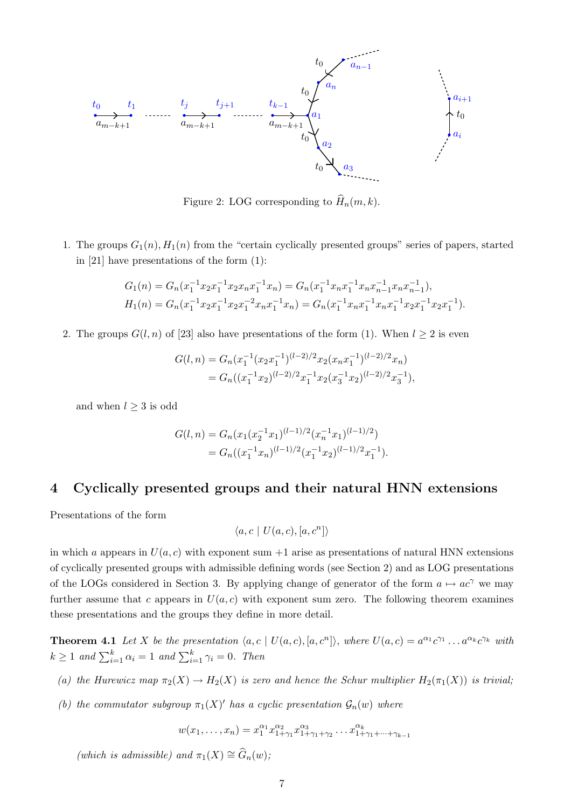

Figure 2: LOG corresponding to  $\widehat{H}_n(m, k)$ .

1. The groups  $G_1(n)$ ,  $H_1(n)$  from the "certain cyclically presented groups" series of papers, started in [21] have presentations of the form (1):

$$
G_1(n) = G_n(x_1^{-1}x_2x_1^{-1}x_2x_nx_1^{-1}x_n) = G_n(x_1^{-1}x_nx_1^{-1}x_nx_{n-1}^{-1}x_nx_{n-1}^{-1}),
$$
  
\n
$$
H_1(n) = G_n(x_1^{-1}x_2x_1^{-1}x_2x_1^{-2}x_nx_1^{-1}x_n) = G_n(x_1^{-1}x_nx_1^{-1}x_nx_1^{-1}x_2x_1^{-1}x_2x_1^{-1}).
$$

2. The groups  $G(l, n)$  of [23] also have presentations of the form (1). When  $l \geq 2$  is even

$$
G(l,n) = G_n(x_1^{-1}(x_2x_1^{-1})^{(l-2)/2}x_2(x_nx_1^{-1})^{(l-2)/2}x_n)
$$
  
= 
$$
G_n((x_1^{-1}x_2)^{(l-2)/2}x_1^{-1}x_2(x_3^{-1}x_2)^{(l-2)/2}x_3^{-1}),
$$

and when  $l \geq 3$  is odd

$$
G(l,n) = G_n(x_1(x_2^{-1}x_1)^{(l-1)/2}(x_n^{-1}x_1)^{(l-1)/2})
$$
  
=  $G_n((x_1^{-1}x_n)^{(l-1)/2}(x_1^{-1}x_2)^{(l-1)/2}x_1^{-1}).$ 

# 4 Cyclically presented groups and their natural HNN extensions

Presentations of the form

$$
\langle a, c \mid U(a, c), [a, c^n] \rangle
$$

in which a appears in  $U(a, c)$  with exponent sum +1 arise as presentations of natural HNN extensions of cyclically presented groups with admissible defining words (see Section 2) and as LOG presentations of the LOGs considered in Section 3. By applying change of generator of the form  $a \mapsto ac^{\gamma}$  we may further assume that c appears in  $U(a, c)$  with exponent sum zero. The following theorem examines these presentations and the groups they define in more detail.

**Theorem 4.1** Let X be the presentation  $\langle a, c \mid U(a, c), [a, c^n] \rangle$ , where  $U(a, c) = a^{\alpha_1} c^{\gamma_1} \dots a^{\alpha_k} c^{\gamma_k}$  with  $k \geq 1$  and  $\sum_{i=1}^{k} \alpha_i = 1$  and  $\sum_{i=1}^{k} \gamma_i = 0$ . Then

- (a) the Hurewicz map  $\pi_2(X) \to H_2(X)$  is zero and hence the Schur multiplier  $H_2(\pi_1(X))$  is trivial;
- (b) the commutator subgroup  $\pi_1(X)'$  has a cyclic presentation  $\mathcal{G}_n(w)$  where

$$
w(x_1, \ldots, x_n) = x_1^{\alpha_1} x_{1+\gamma_1}^{\alpha_2} x_{1+\gamma_1+\gamma_2}^{\alpha_3} \ldots x_{1+\gamma_1+\cdots+\gamma_{k-1}}^{\alpha_k}
$$

(which is admissible) and  $\pi_1(X) \cong \widehat{G}_n(w);$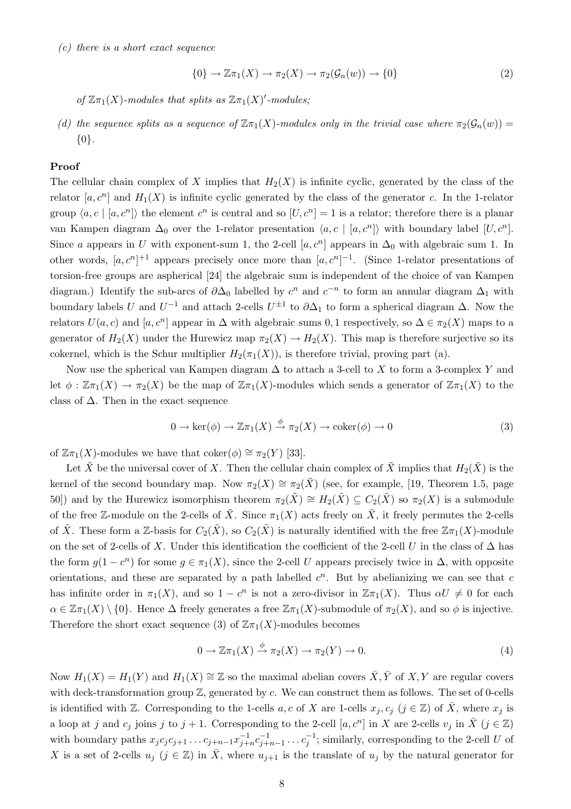(c) there is a short exact sequence

$$
\{0\} \to \mathbb{Z}\pi_1(X) \to \pi_2(X) \to \pi_2(\mathcal{G}_n(w)) \to \{0\}
$$
 (2)

of  $\mathbb{Z}\pi_1(X)$ -modules that splits as  $\mathbb{Z}\pi_1(X)'$ -modules;

(d) the sequence splits as a sequence of  $\mathbb{Z}_{\pi_1}(X)$ -modules only in the trivial case where  $\pi_2(\mathcal{G}_n(w)) =$ {0}.

### Proof

The cellular chain complex of X implies that  $H_2(X)$  is infinite cyclic, generated by the class of the relator  $[a, c^n]$  and  $H_1(X)$  is infinite cyclic generated by the class of the generator c. In the 1-relator group  $\langle a, c \mid [a, c^n] \rangle$  the element  $c^n$  is central and so  $[U, c^n] = 1$  is a relator; therefore there is a planar van Kampen diagram  $\Delta_0$  over the 1-relator presentation  $\langle a, c \mid [a, c^n] \rangle$  with boundary label  $[U, c^n]$ . Since a appears in U with exponent-sum 1, the 2-cell  $[a, c<sup>n</sup>]$  appears in  $\Delta_0$  with algebraic sum 1. In other words,  $[a, c^n]^{+1}$  appears precisely once more than  $[a, c^n]^{-1}$ . (Since 1-relator presentations of torsion-free groups are aspherical [24] the algebraic sum is independent of the choice of van Kampen diagram.) Identify the sub-arcs of  $\partial \Delta_0$  labelled by  $c^n$  and  $c^{-n}$  to form an annular diagram  $\Delta_1$  with boundary labels U and  $U^{-1}$  and attach 2-cells  $U^{\pm 1}$  to  $\partial \Delta_1$  to form a spherical diagram  $\Delta$ . Now the relators  $U(a, c)$  and  $[a, c^n]$  appear in  $\Delta$  with algebraic sums 0, 1 respectively, so  $\Delta \in \pi_2(X)$  maps to a generator of  $H_2(X)$  under the Hurewicz map  $\pi_2(X) \to H_2(X)$ . This map is therefore surjective so its cokernel, which is the Schur multiplier  $H_2(\pi_1(X))$ , is therefore trivial, proving part (a).

Now use the spherical van Kampen diagram  $\Delta$  to attach a 3-cell to X to form a 3-complex Y and let  $\phi : \mathbb{Z}\pi_1(X) \to \pi_2(X)$  be the map of  $\mathbb{Z}\pi_1(X)$ -modules which sends a generator of  $\mathbb{Z}\pi_1(X)$  to the class of  $\Delta$ . Then in the exact sequence

$$
0 \to \ker(\phi) \to \mathbb{Z}\pi_1(X) \xrightarrow{\phi} \pi_2(X) \to \mathrm{coker}(\phi) \to 0
$$
 (3)

of  $\mathbb{Z}\pi_1(X)$ -modules we have that coker $(\phi) \cong \pi_2(Y)$  [33].

Let  $\tilde{X}$  be the universal cover of X. Then the cellular chain complex of  $\tilde{X}$  implies that  $H_2(\tilde{X})$  is the kernel of the second boundary map. Now  $\pi_2(X) \cong \pi_2(\tilde{X})$  (see, for example, [19, Theorem 1.5, page 50)) and by the Hurewicz isomorphism theorem  $\pi_2(\tilde{X}) \cong H_2(\tilde{X}) \subseteq C_2(\tilde{X})$  so  $\pi_2(X)$  is a submodule of the free Z-module on the 2-cells of  $\tilde{X}$ . Since  $\pi_1(X)$  acts freely on  $\tilde{X}$ , it freely permutes the 2-cells of  $\tilde{X}$ . These form a Z-basis for  $C_2(\tilde{X})$ , so  $C_2(\tilde{X})$  is naturally identified with the free  $\mathbb{Z}_{\pi_1}(X)$ -module on the set of 2-cells of X. Under this identification the coefficient of the 2-cell U in the class of  $\Delta$  has the form  $g(1 - c^n)$  for some  $g \in \pi_1(X)$ , since the 2-cell U appears precisely twice in  $\Delta$ , with opposite orientations, and these are separated by a path labelled  $c<sup>n</sup>$ . But by abelianizing we can see that c has infinite order in  $\pi_1(X)$ , and so  $1 - c^n$  is not a zero-divisor in  $\mathbb{Z}\pi_1(X)$ . Thus  $\alpha U \neq 0$  for each  $\alpha \in \mathbb{Z} \pi_1(X) \setminus \{0\}$ . Hence  $\Delta$  freely generates a free  $\mathbb{Z} \pi_1(X)$ -submodule of  $\pi_2(X)$ , and so  $\phi$  is injective. Therefore the short exact sequence (3) of  $\mathbb{Z} \pi_1(X)$ -modules becomes

$$
0 \to \mathbb{Z}\pi_1(X) \xrightarrow{\phi} \pi_2(X) \to \pi_2(Y) \to 0. \tag{4}
$$

Now  $H_1(X) = H_1(Y)$  and  $H_1(X) \cong \mathbb{Z}$  so the maximal abelian covers  $\overline{X}, \overline{Y}$  of  $X, Y$  are regular covers with deck-transformation group  $\mathbb{Z}$ , generated by c. We can construct them as follows. The set of 0-cells is identified with Z. Corresponding to the 1-cells  $a, c$  of X are 1-cells  $x_j, c_j$  ( $j \in \mathbb{Z}$ ) of X, where  $x_j$  is a loop at j and  $c_j$  joins j to  $j + 1$ . Corresponding to the 2-cell  $[a, c^n]$  in X are 2-cells  $v_j$  in  $\overline{X}$   $(j \in \mathbb{Z})$ with boundary paths  $x_j c_j c_{j+1} \ldots c_{j+n-1} x_{j+n}^{-1} c_{j+n-1}^{-1} \ldots c_j^{-1}$ ; similarly, corresponding to the 2-cell U of X is a set of 2-cells  $u_j$  ( $j \in \mathbb{Z}$ ) in  $\overline{X}$ , where  $u_{j+1}$  is the translate of  $u_j$  by the natural generator for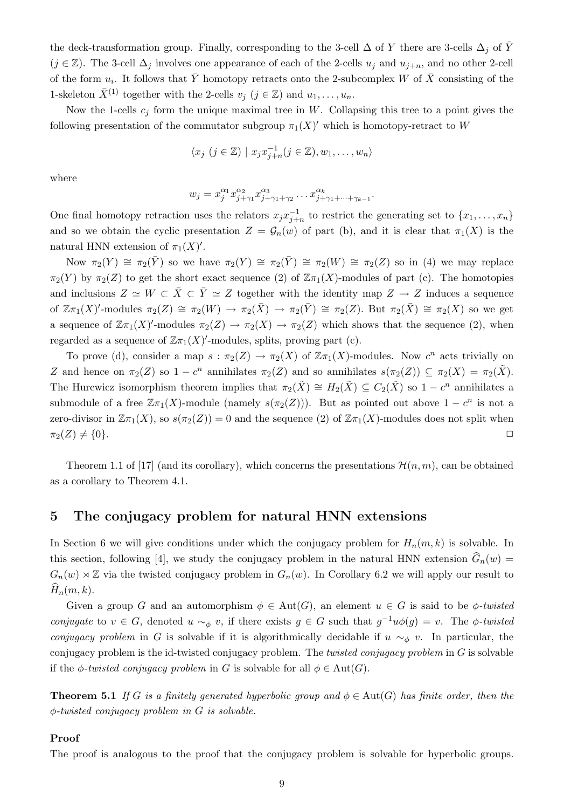the deck-transformation group. Finally, corresponding to the 3-cell  $\Delta$  of Y there are 3-cells  $\Delta_j$  of  $\overline{Y}$  $(j \in \mathbb{Z})$ . The 3-cell  $\Delta_j$  involves one appearance of each of the 2-cells  $u_j$  and  $u_{j+n}$ , and no other 2-cell of the form  $u_i$ . It follows that  $\overline{Y}$  homotopy retracts onto the 2-subcomplex W of  $\overline{X}$  consisting of the 1-skeleton  $\bar{X}^{(1)}$  together with the 2-cells  $v_j$   $(j \in \mathbb{Z})$  and  $u_1, \ldots, u_n$ .

Now the 1-cells  $c_j$  form the unique maximal tree in W. Collapsing this tree to a point gives the following presentation of the commutator subgroup  $\pi_1(X)'$  which is homotopy-retract to W

$$
\langle x_j \ (j \in \mathbb{Z}) \mid x_j x_{j+n}^{-1} (j \in \mathbb{Z}), w_1, \dots, w_n \rangle
$$

where

$$
w_j = x_j^{\alpha_1} x_{j+\gamma_1}^{\alpha_2} x_{j+\gamma_1+\gamma_2}^{\alpha_3} \dots x_{j+\gamma_1+\dots+\gamma_{k-1}}^{\alpha_k}.
$$

One final homotopy retraction uses the relators  $x_j x_{j+n}^{-1}$  to restrict the generating set to  $\{x_1, \ldots, x_n\}$ and so we obtain the cyclic presentation  $Z = \mathcal{G}_n(w)$  of part (b), and it is clear that  $\pi_1(X)$  is the natural HNN extension of  $\pi_1(X)'$ .

Now  $\pi_2(Y) \cong \pi_2(\bar{Y})$  so we have  $\pi_2(Y) \cong \pi_2(\bar{Y}) \cong \pi_2(W) \cong \pi_2(Z)$  so in (4) we may replace  $\pi_2(Y)$  by  $\pi_2(Z)$  to get the short exact sequence (2) of  $\mathbb{Z}\pi_1(X)$ -modules of part (c). The homotopies and inclusions  $Z \simeq W \subset \overline{X} \subset \overline{Y} \simeq Z$  together with the identity map  $Z \to Z$  induces a sequence of  $\mathbb{Z}\pi_1(X)'$ -modules  $\pi_2(Z) \cong \pi_2(W) \to \pi_2(\bar{X}) \to \pi_2(\bar{Y}) \cong \pi_2(Z)$ . But  $\pi_2(\bar{X}) \cong \pi_2(X)$  so we get a sequence of  $\mathbb{Z}\pi_1(X)'$ -modules  $\pi_2(Z) \to \pi_2(X) \to \pi_2(Z)$  which shows that the sequence (2), when regarded as a sequence of  $\mathbb{Z}_{\pi_1}(X)'$ -modules, splits, proving part (c).

To prove (d), consider a map  $s : \pi_2(Z) \to \pi_2(X)$  of  $\mathbb{Z}\pi_1(X)$ -modules. Now  $c^n$  acts trivially on Z and hence on  $\pi_2(Z)$  so  $1 - c^n$  annihilates  $\pi_2(Z)$  and so annihilates  $s(\pi_2(Z)) \subseteq \pi_2(X) = \pi_2(\tilde{X})$ . The Hurewicz isomorphism theorem implies that  $\pi_2(\tilde{X}) \cong H_2(\tilde{X}) \subseteq C_2(\tilde{X})$  so  $1 - c^n$  annihilates a submodule of a free  $\mathbb{Z}_{\pi_1}(X)$ -module (namely  $s(\pi_2(Z))$ ). But as pointed out above  $1 - c^n$  is not a zero-divisor in  $\mathbb{Z}(\pi_1(X), \text{ so } s(\pi_2(Z)) = 0$  and the sequence (2) of  $\mathbb{Z}(\pi_1(X))$ -modules does not split when  $\pi_2(Z) \neq \{0\}.$ 

Theorem 1.1 of [17] (and its corollary), which concerns the presentations  $\mathcal{H}(n,m)$ , can be obtained as a corollary to Theorem 4.1.

## 5 The conjugacy problem for natural HNN extensions

In Section 6 we will give conditions under which the conjugacy problem for  $H_n(m, k)$  is solvable. In this section, following [4], we study the conjugacy problem in the natural HNN extension  $G_n(w)$  =  $G_n(w) \rtimes \mathbb{Z}$  via the twisted conjugacy problem in  $G_n(w)$ . In Corollary 6.2 we will apply our result to  $\hat{H}_n(m, k)$ .

Given a group G and an automorphism  $\phi \in Aut(G)$ , an element  $u \in G$  is said to be  $\phi$ -twisted conjugate to  $v \in G$ , denoted  $u \sim_{\phi} v$ , if there exists  $g \in G$  such that  $g^{-1}u\phi(g) = v$ . The  $\phi$ -twisted conjugacy problem in G is solvable if it is algorithmically decidable if  $u \sim_{\phi} v$ . In particular, the conjugacy problem is the id-twisted conjugacy problem. The *twisted conjugacy problem* in  $G$  is solvable if the  $\phi$ -twisted conjugacy problem in G is solvable for all  $\phi \in Aut(G)$ .

**Theorem 5.1** If G is a finitely generated hyperbolic group and  $\phi \in Aut(G)$  has finite order, then the φ-twisted conjugacy problem in G is solvable.

#### Proof

The proof is analogous to the proof that the conjugacy problem is solvable for hyperbolic groups.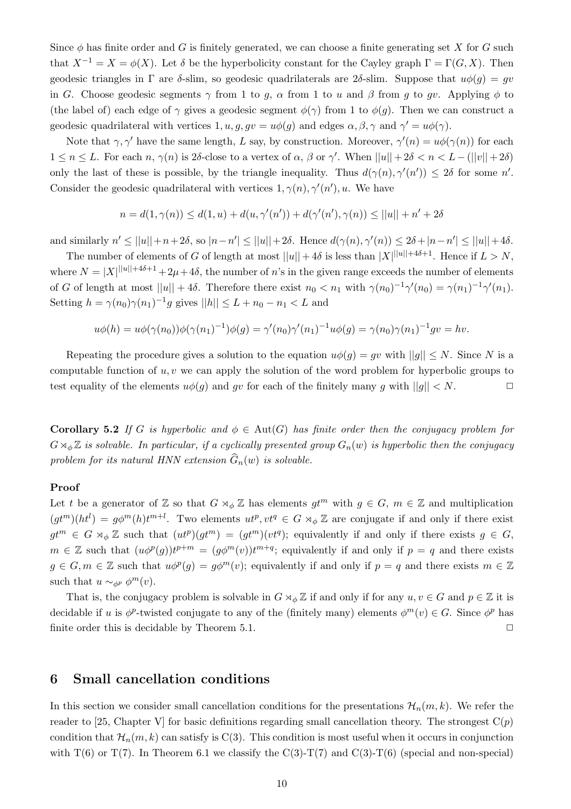Since  $\phi$  has finite order and G is finitely generated, we can choose a finite generating set X for G such that  $X^{-1} = X = \phi(X)$ . Let  $\delta$  be the hyperbolicity constant for the Cayley graph  $\Gamma = \Gamma(G, X)$ . Then geodesic triangles in  $\Gamma$  are δ-slim, so geodesic quadrilaterals are 2δ-slim. Suppose that  $u\phi(q) = qv$ in G. Choose geodesic segments  $\gamma$  from 1 to g,  $\alpha$  from 1 to u and  $\beta$  from g to gv. Applying  $\phi$  to (the label of) each edge of  $\gamma$  gives a geodesic segment  $\phi(\gamma)$  from 1 to  $\phi(g)$ . Then we can construct a geodesic quadrilateral with vertices  $1, u, g, gv = u\phi(g)$  and edges  $\alpha, \beta, \gamma$  and  $\gamma' = u\phi(\gamma)$ .

Note that  $\gamma$ ,  $\gamma'$  have the same length, L say, by construction. Moreover,  $\gamma'(n) = u\phi(\gamma(n))$  for each  $1 \leq n \leq L$ . For each  $n, \gamma(n)$  is 2δ-close to a vertex of  $\alpha, \beta$  or  $\gamma'$ . When  $||u|| + 2\delta < n < L-(||v|| + 2\delta)$ only the last of these is possible, by the triangle inequality. Thus  $d(\gamma(n), \gamma'(n')) \leq 2\delta$  for some n'. Consider the geodesic quadrilateral with vertices  $1, \gamma(n), \gamma'(n'), u$ . We have

$$
n = d(1, \gamma(n)) \le d(1, u) + d(u, \gamma'(n')) + d(\gamma'(n'), \gamma(n)) \le ||u|| + n' + 2\delta
$$

and similarly  $n' \leq ||u|| + n + 2\delta$ , so  $|n - n'| \leq ||u|| + 2\delta$ . Hence  $d(\gamma(n), \gamma'(n)) \leq 2\delta + |n - n'| \leq ||u|| + 4\delta$ .

The number of elements of G of length at most  $||u|| + 4\delta$  is less than  $|X|^{\|u\|+4\delta+1}$ . Hence if  $L > N$ , where  $N = |X||^{||u|| + 4\delta + 1} + 2\mu + 4\delta$ , the number of n's in the given range exceeds the number of elements of G of length at most  $||u|| + 4\delta$ . Therefore there exist  $n_0 < n_1$  with  $\gamma(n_0)^{-1}\gamma'(n_0) = \gamma(n_1)^{-1}\gamma'(n_1)$ . Setting  $h = \gamma(n_0)\gamma(n_1)^{-1}g$  gives  $||h|| \le L + n_0 - n_1 < L$  and

$$
u\phi(h) = u\phi(\gamma(n_0))\phi(\gamma(n_1)^{-1})\phi(g) = \gamma'(n_0)\gamma'(n_1)^{-1}u\phi(g) = \gamma(n_0)\gamma(n_1)^{-1}gv = hv.
$$

Repeating the procedure gives a solution to the equation  $u\phi(q) = qv$  with  $||q|| \leq N$ . Since N is a computable function of  $u, v$  we can apply the solution of the word problem for hyperbolic groups to test equality of the elements  $u\phi(g)$  and gv for each of the finitely many g with  $||g|| < N$ .

**Corollary 5.2** If G is hyperbolic and  $\phi \in \text{Aut}(G)$  has finite order then the conjugacy problem for  $G \rtimes_{\phi} \mathbb{Z}$  is solvable. In particular, if a cyclically presented group  $G_n(w)$  is hyperbolic then the conjugacy problem for its natural HNN extension  $\widehat{G}_n(w)$  is solvable.

### Proof

Let t be a generator of Z so that  $G \rtimes_{\phi} \mathbb{Z}$  has elements  $gt^m$  with  $g \in G$ ,  $m \in \mathbb{Z}$  and multiplication  $(gt^m)(ht^l) = g\phi^m(h)t^{m+l}$ . Two elements  $ut^p, vt^q \in G \rtimes_{\phi} \mathbb{Z}$  are conjugate if and only if there exist  $gt^m \in G \rtimes_{\phi} \mathbb{Z}$  such that  $(ut^p)(gt^m) = (gt^m)(vt^q)$ ; equivalently if and only if there exists  $g \in G$ ,  $m \in \mathbb{Z}$  such that  $(u\phi^p(g))t^{p+m} = (g\phi^m(v))t^{m+q}$ ; equivalently if and only if  $p = q$  and there exists  $g \in G, m \in \mathbb{Z}$  such that  $u\phi^p(g) = g\phi^m(v)$ ; equivalently if and only if  $p = q$  and there exists  $m \in \mathbb{Z}$ such that  $u \sim_{\phi^p} \phi^m(v)$ .

That is, the conjugacy problem is solvable in  $G \rtimes_{\phi} \mathbb{Z}$  if and only if for any  $u, v \in G$  and  $p \in \mathbb{Z}$  it is decidable if u is  $\phi^p$ -twisted conjugate to any of the (finitely many) elements  $\phi^m(v) \in G$ . Since  $\phi^p$  has finite order this is decidable by Theorem 5.1.  $\Box$ 

## 6 Small cancellation conditions

In this section we consider small cancellation conditions for the presentations  $\mathcal{H}_n(m, k)$ . We refer the reader to [25, Chapter V] for basic definitions regarding small cancellation theory. The strongest  $C(p)$ condition that  $\mathcal{H}_n(m, k)$  can satisfy is C(3). This condition is most useful when it occurs in conjunction with  $T(6)$  or  $T(7)$ . In Theorem 6.1 we classify the C(3)-T(7) and C(3)-T(6) (special and non-special)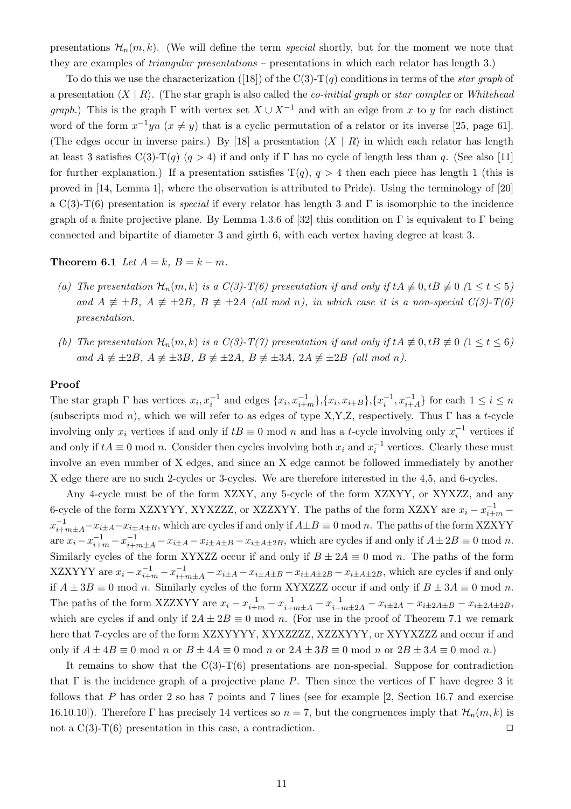presentations  $\mathcal{H}_n(m, k)$ . (We will define the term special shortly, but for the moment we note that they are examples of triangular presentations – presentations in which each relator has length 3.)

To do this we use the characterization ([18]) of the C(3)-T(q) conditions in terms of the *star graph* of a presentation  $\langle X | R \rangle$ . (The star graph is also called the *co-initial graph* or *star complex* or Whitehead *graph*.) This is the graph  $\Gamma$  with vertex set  $X \cup X^{-1}$  and with an edge from x to y for each distinct word of the form  $x^{-1}yu$   $(x \neq y)$  that is a cyclic permutation of a relator or its inverse [25, page 61]. (The edges occur in inverse pairs.) By [18] a presentation  $\langle X | R \rangle$  in which each relator has length at least 3 satisfies C(3)-T(q) (q > 4) if and only if Γ has no cycle of length less than q. (See also [11] for further explanation.) If a presentation satisfies  $T(q)$ ,  $q > 4$  then each piece has length 1 (this is proved in [14, Lemma 1], where the observation is attributed to Pride). Using the terminology of [20] a C(3)-T(6) presentation is *special* if every relator has length 3 and  $\Gamma$  is isomorphic to the incidence graph of a finite projective plane. By Lemma 1.3.6 of [32] this condition on  $\Gamma$  is equivalent to  $\Gamma$  being connected and bipartite of diameter 3 and girth 6, with each vertex having degree at least 3.

Theorem 6.1 Let  $A = k$ ,  $B = k - m$ .

- (a) The presentation  $\mathcal{H}_n(m, k)$  is a  $C(3)$ -T(6) presentation if and only if  $tA \not\equiv 0, tB \not\equiv 0 \ (1 \le t \le 5)$ and  $A \neq \pm B$ ,  $A \neq \pm 2B$ ,  $B \neq \pm 2A$  (all mod n), in which case it is a non-special  $C(3)$ -T(6) presentation.
- (b) The presentation  $\mathcal{H}_n(m, k)$  is a  $C(3)-T(7)$  presentation if and only if  $tA \not\equiv 0, tB \not\equiv 0 \ (1 \le t \le 6)$ and  $A \not\equiv \pm 2B$ ,  $A \not\equiv \pm 3B$ ,  $B \not\equiv \pm 2A$ ,  $B \not\equiv \pm 3A$ ,  $2A \not\equiv \pm 2B$  (all mod n).

### Proof

The star graph  $\Gamma$  has vertices  $x_i, x_i^{-1}$  and edges  $\{x_i, x_{i+m}^{-1}\}, \{x_i, x_{i+B}\}, \{x_i^{-1}, x_{i+A}^{-1}\}$  for each  $1 \le i \le n$ (subscripts mod n), which we will refer to as edges of type X,Y,Z, respectively. Thus  $\Gamma$  has a t-cycle involving only  $x_i$  vertices if and only if  $tB \equiv 0 \mod n$  and has a t-cycle involving only  $x_i^{-1}$  vertices if and only if  $tA \equiv 0 \mod n$ . Consider then cycles involving both  $x_i$  and  $x_i^{-1}$  vertices. Clearly these must involve an even number of X edges, and since an X edge cannot be followed immediately by another X edge there are no such 2-cycles or 3-cycles. We are therefore interested in the 4,5, and 6-cycles.

Any 4-cycle must be of the form XZXY, any 5-cycle of the form XZXYY, or XYXZZ, and any 6-cycle of the form XZXYYY, XYXZZZ, or XZZXYY. The paths of the form XZXY are  $x_i - x_{i+m}^{-1}$  $x_{i+m\pm A}^{-1}$  $-x_{i\pm A}\pm x_{i\pm B}$ , which are cycles if and only if  $A\pm B\equiv 0$  mod n. The paths of the form XZXYY are  $x_i - x_{i+m}^{-1} - x_{i+m}^{-1} - x_{i\pm A} - x_{i\pm A\pm B} - x_{i\pm A\pm 2B}$ , which are cycles if and only if  $A \pm 2B \equiv 0 \mod n$ . Similarly cycles of the form XYXZZ occur if and only if  $B \pm 2A \equiv 0 \text{ mod } n$ . The paths of the form XZXYYY are  $x_i - x_{i+m}^{-1} - x_{i+m}^{-1} - x_{i+A} - x_{i+A+B} - x_{i+A+2B} - x_{i+A+2B}$ , which are cycles if and only if  $A \pm 3B \equiv 0 \mod n$ . Similarly cycles of the form XYXZZZ occur if and only if  $B \pm 3A \equiv 0 \mod n$ . The paths of the form XZZXYY are  $x_i - x_{i+m}^{-1} - x_{i+m\pm A}^{-1} - x_{i+m\pm 2A}^{-1} - x_{i\pm 2A} - x_{i\pm 2A\pm B} - x_{i\pm 2A\pm 2B}$ , which are cycles if and only if  $2A \pm 2B \equiv 0 \mod n$ . (For use in the proof of Theorem 7.1 we remark here that 7-cycles are of the form XZXYYYY, XYXZZZZ, XZZXYYY, or XYYXZZZ and occur if and only if  $A \pm 4B \equiv 0 \text{ mod } n$  or  $B \pm 4A \equiv 0 \text{ mod } n$  or  $2A \pm 3B \equiv 0 \text{ mod } n$  or  $2B \pm 3A \equiv 0 \text{ mod } n$ .)

It remains to show that the  $C(3)-T(6)$  presentations are non-special. Suppose for contradiction that  $\Gamma$  is the incidence graph of a projective plane P. Then since the vertices of  $\Gamma$  have degree 3 it follows that  $P$  has order 2 so has 7 points and 7 lines (see for example  $[2,$  Section 16.7 and exercise 16.10.10]). Therefore Γ has precisely 14 vertices so  $n = 7$ , but the congruences imply that  $\mathcal{H}_n(m, k)$  is not a  $C(3)-T(6)$  presentation in this case, a contradiction.  $\square$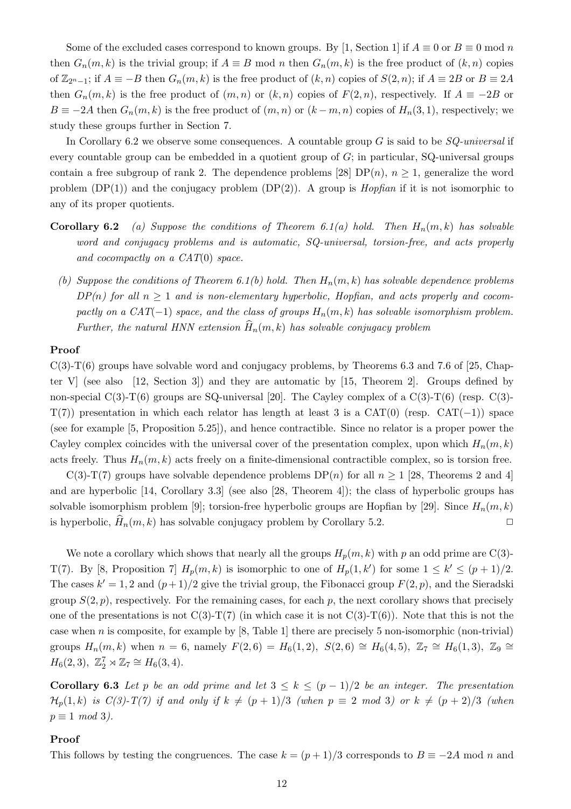Some of the excluded cases correspond to known groups. By [1, Section 1] if  $A \equiv 0$  or  $B \equiv 0 \mod n$ then  $G_n(m, k)$  is the trivial group; if  $A \equiv B \mod n$  then  $G_n(m, k)$  is the free product of  $(k, n)$  copies of  $\mathbb{Z}_{2n-1}$ ; if  $A \equiv -B$  then  $G_n(m, k)$  is the free product of  $(k, n)$  copies of  $S(2, n)$ ; if  $A \equiv 2B$  or  $B \equiv 2A$ then  $G_n(m, k)$  is the free product of  $(m, n)$  or  $(k, n)$  copies of  $F(2, n)$ , respectively. If  $A \equiv -2B$  or  $B \equiv -2A$  then  $G_n(m, k)$  is the free product of  $(m, n)$  or  $(k - m, n)$  copies of  $H_n(3, 1)$ , respectively; we study these groups further in Section 7.

In Corollary 6.2 we observe some consequences. A countable group  $G$  is said to be  $SQ$ -universal if every countable group can be embedded in a quotient group of G; in particular, SQ-universal groups contain a free subgroup of rank 2. The dependence problems [28]  $DP(n)$ ,  $n \geq 1$ , generalize the word problem  $(DP(1))$  and the conjugacy problem  $(DP(2))$ . A group is *Hopfian* if it is not isomorphic to any of its proper quotients.

- **Corollary 6.2** (a) Suppose the conditions of Theorem 6.1(a) hold. Then  $H_n(m, k)$  has solvable word and conjugacy problems and is automatic, SQ-universal, torsion-free, and acts properly and cocompactly on a  $CAT(0)$  space.
	- (b) Suppose the conditions of Theorem 6.1(b) hold. Then  $H_n(m, k)$  has solvable dependence problems  $DP(n)$  for all  $n \geq 1$  and is non-elementary hyperbolic, Hopfian, and acts properly and cocompactly on a CAT(-1) space, and the class of groups  $H_n(m, k)$  has solvable isomorphism problem. Further, the natural HNN extension  $\widehat{H}_n(m, k)$  has solvable conjugacy problem

#### Proof

 $C(3)$ -T(6) groups have solvable word and conjugacy problems, by Theorems 6.3 and 7.6 of [25, Chapter V (see also [12, Section 3]) and they are automatic by [15, Theorem 2]. Groups defined by non-special  $C(3)-T(6)$  groups are SQ-universal [20]. The Cayley complex of a  $C(3)-T(6)$  (resp.  $C(3)$ - $T(7)$ ) presentation in which each relator has length at least 3 is a CAT(0) (resp. CAT(−1)) space (see for example [5, Proposition 5.25]), and hence contractible. Since no relator is a proper power the Cayley complex coincides with the universal cover of the presentation complex, upon which  $H_n(m, k)$ acts freely. Thus  $H_n(m, k)$  acts freely on a finite-dimensional contractible complex, so is torsion free.

C(3)-T(7) groups have solvable dependence problems  $DP(n)$  for all  $n \ge 1$  [28, Theorems 2 and 4] and are hyperbolic [14, Corollary 3.3] (see also [28, Theorem 4]); the class of hyperbolic groups has solvable isomorphism problem [9]; torsion-free hyperbolic groups are Hopfian by [29]. Since  $H_n(m, k)$ is hyperbolic,  $H_n(m, k)$  has solvable conjugacy problem by Corollary 5.2.

We note a corollary which shows that nearly all the groups  $H_p(m, k)$  with p an odd prime are C(3)-T(7). By [8, Proposition 7]  $H_p(m, k)$  is isomorphic to one of  $H_p(1, k')$  for some  $1 \leq k' \leq (p+1)/2$ . The cases  $k' = 1, 2$  and  $(p+1)/2$  give the trivial group, the Fibonacci group  $F(2, p)$ , and the Sieradski group  $S(2, p)$ , respectively. For the remaining cases, for each p, the next corollary shows that precisely one of the presentations is not  $C(3)-T(7)$  (in which case it is not  $C(3)-T(6)$ ). Note that this is not the case when  $n$  is composite, for example by [8, Table 1] there are precisely 5 non-isomorphic (non-trivial) groups  $H_n(m, k)$  when  $n = 6$ , namely  $F(2, 6) = H_6(1, 2)$ ,  $S(2, 6) \cong H_6(4, 5)$ ,  $\mathbb{Z}_7 \cong H_6(1, 3)$ ,  $\mathbb{Z}_9 \cong$  $H_6(2,3), \mathbb{Z}_2^7 \rtimes \mathbb{Z}_7 \cong H_6(3,4).$ 

Corollary 6.3 Let p be an odd prime and let  $3 \leq k \leq (p-1)/2$  be an integer. The presentation  $\mathcal{H}_p(1,k)$  is  $C(3)$ -T(7) if and only if  $k \neq (p+1)/3$  (when  $p \equiv 2 \mod 3$ ) or  $k \neq (p+2)/3$  (when  $p \equiv 1 \mod 3$ .

### Proof

This follows by testing the congruences. The case  $k = (p+1)/3$  corresponds to  $B = -2A \text{ mod } n$  and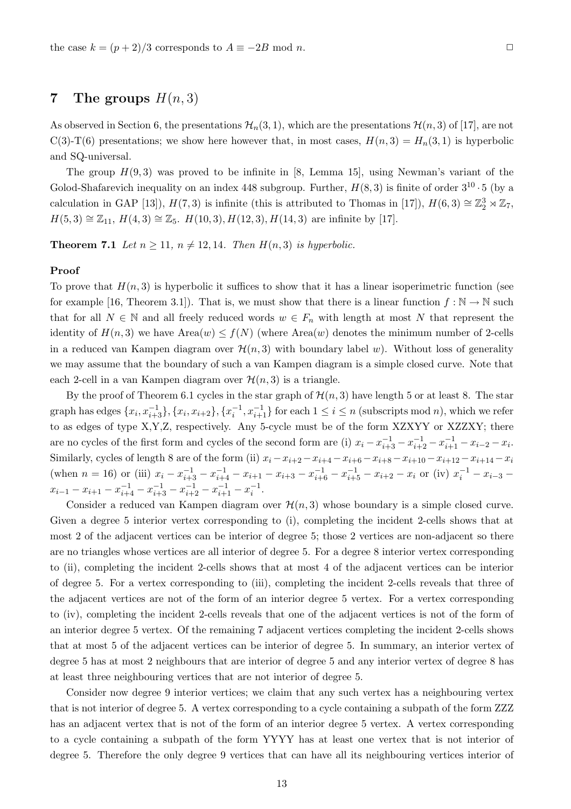As observed in Section 6, the presentations  $\mathcal{H}_n(3,1)$ , which are the presentations  $\mathcal{H}(n,3)$  of [17], are not C(3)-T(6) presentations; we show here however that, in most cases,  $H(n, 3) = H_n(3, 1)$  is hyperbolic and SQ-universal.

The group  $H(9,3)$  was proved to be infinite in [8, Lemma 15], using Newman's variant of the Golod-Shafarevich inequality on an index 448 subgroup. Further,  $H(8,3)$  is finite of order  $3^{10} \cdot 5$  (by a calculation in GAP [13]),  $H(7,3)$  is infinite (this is attributed to Thomas in [17]),  $H(6,3) \cong \mathbb{Z}_2^3 \rtimes \mathbb{Z}_7$ ,  $H(5,3) \cong \mathbb{Z}_{11}$ ,  $H(4,3) \cong \mathbb{Z}_5$ .  $H(10,3)$ ,  $H(12,3)$ ,  $H(14,3)$  are infinite by [17].

**Theorem 7.1** Let  $n \geq 11$ ,  $n \neq 12, 14$ . Then  $H(n, 3)$  is hyperbolic.

### Proof

To prove that  $H(n, 3)$  is hyperbolic it suffices to show that it has a linear isoperimetric function (see for example [16, Theorem 3.1]). That is, we must show that there is a linear function  $f : \mathbb{N} \to \mathbb{N}$  such that for all  $N \in \mathbb{N}$  and all freely reduced words  $w \in F_n$  with length at most N that represent the identity of  $H(n, 3)$  we have  $Area(w) \le f(N)$  (where  $Area(w)$  denotes the minimum number of 2-cells in a reduced van Kampen diagram over  $\mathcal{H}(n,3)$  with boundary label w). Without loss of generality we may assume that the boundary of such a van Kampen diagram is a simple closed curve. Note that each 2-cell in a van Kampen diagram over  $\mathcal{H}(n,3)$  is a triangle.

By the proof of Theorem 6.1 cycles in the star graph of  $\mathcal{H}(n,3)$  have length 5 or at least 8. The star graph has edges  $\{x_i, x_{i+3}^{-1}\}, \{x_i, x_{i+2}\}, \{x_i^{-1}, x_{i+1}^{-1}\}$  for each  $1 \le i \le n$  (subscripts mod *n*), which we refer to as edges of type X,Y,Z, respectively. Any 5-cycle must be of the form XZXYY or XZZXY; there are no cycles of the first form and cycles of the second form are (i)  $x_i - x_{i+3}^{-1} - x_{i+2}^{-1} - x_{i+1}^{-1} - x_{i-2} - x_i$ . Similarly, cycles of length 8 are of the form (ii)  $x_i - x_{i+2} - x_{i+4} - x_{i+6} - x_{i+8} - x_{i+10} - x_{i+12} - x_{i+14} - x_i$ (when  $n = 16$ ) or (iii)  $x_i - x_{i+3}^{-1} - x_{i+4}^{-1} - x_{i+1} - x_{i+3} - x_{i+6}^{-1} - x_{i+5}^{-1} - x_{i+2} - x_i$  or (iv)  $x_i^{-1} - x_{i-3}$  $x_{i-1} - x_{i+1} - x_{i+4}^{-1} - x_{i+3}^{-1} - x_{i+2}^{-1} - x_{i+1}^{-1} - x_i^{-1}.$ 

Consider a reduced van Kampen diagram over  $\mathcal{H}(n,3)$  whose boundary is a simple closed curve. Given a degree 5 interior vertex corresponding to (i), completing the incident 2-cells shows that at most 2 of the adjacent vertices can be interior of degree 5; those 2 vertices are non-adjacent so there are no triangles whose vertices are all interior of degree 5. For a degree 8 interior vertex corresponding to (ii), completing the incident 2-cells shows that at most 4 of the adjacent vertices can be interior of degree 5. For a vertex corresponding to (iii), completing the incident 2-cells reveals that three of the adjacent vertices are not of the form of an interior degree 5 vertex. For a vertex corresponding to (iv), completing the incident 2-cells reveals that one of the adjacent vertices is not of the form of an interior degree 5 vertex. Of the remaining 7 adjacent vertices completing the incident 2-cells shows that at most 5 of the adjacent vertices can be interior of degree 5. In summary, an interior vertex of degree 5 has at most 2 neighbours that are interior of degree 5 and any interior vertex of degree 8 has at least three neighbouring vertices that are not interior of degree 5.

Consider now degree 9 interior vertices; we claim that any such vertex has a neighbouring vertex that is not interior of degree 5. A vertex corresponding to a cycle containing a subpath of the form ZZZ has an adjacent vertex that is not of the form of an interior degree 5 vertex. A vertex corresponding to a cycle containing a subpath of the form YYYY has at least one vertex that is not interior of degree 5. Therefore the only degree 9 vertices that can have all its neighbouring vertices interior of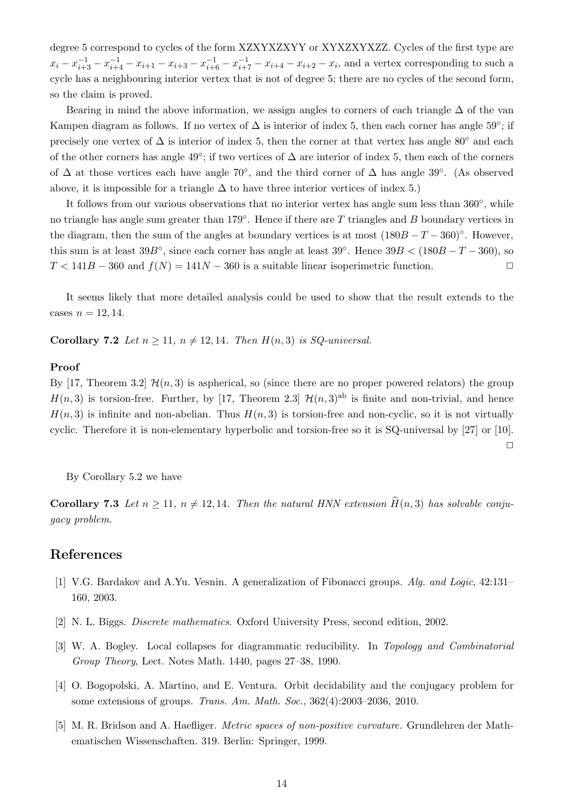degree 5 correspond to cycles of the form XZXYXZXYY or XYXZXYXZZ. Cycles of the first type are  $x_i - x_{i+3}^{-1} - x_{i+4}^{-1} - x_{i+3} - x_{i+6}^{-1} - x_{i+7}^{-1} - x_{i+4} - x_{i+2} - x_i$ , and a vertex corresponding to such a cycle has a neighbouring interior vertex that is not of degree 5; there are no cycles of the second form, so the claim is proved.

Bearing in mind the above information, we assign angles to corners of each triangle  $\Delta$  of the van Kampen diagram as follows. If no vertex of  $\Delta$  is interior of index 5, then each corner has angle 59°; if precisely one vertex of  $\Delta$  is interior of index 5, then the corner at that vertex has angle 80° and each of the other corners has angle 49°; if two vertices of  $\Delta$  are interior of index 5, then each of the corners of  $\Delta$  at those vertices each have angle 70°, and the third corner of  $\Delta$  has angle 39°. (As observed above, it is impossible for a triangle  $\Delta$  to have three interior vertices of index 5.)

It follows from our various observations that no interior vertex has angle sum less than 360°, while no triangle has angle sum greater than 179 $^{\circ}$ . Hence if there are T triangles and B boundary vertices in the diagram, then the sum of the angles at boundary vertices is at most  $(180B - T - 360)°$ . However, this sum is at least  $39B^{\circ}$ , since each corner has angle at least  $39^{\circ}$ . Hence  $39B < (180B - T - 360)$ , so  $T < 141B - 360$  and  $f(N) = 141N - 360$  is a suitable linear isoperimetric function.

It seems likely that more detailed analysis could be used to show that the result extends to the cases  $n = 12, 14$ .

Corollary 7.2 Let  $n \geq 11$ ,  $n \neq 12, 14$ . Then  $H(n, 3)$  is SQ-universal.

#### Proof

By [17, Theorem 3.2]  $\mathcal{H}(n,3)$  is aspherical, so (since there are no proper powered relators) the group  $H(n, 3)$  is torsion-free. Further, by [17, Theorem 2.3]  $\mathcal{H}(n, 3)$ <sup>ab</sup> is finite and non-trivial, and hence  $H(n, 3)$  is infinite and non-abelian. Thus  $H(n, 3)$  is torsion-free and non-cyclic, so it is not virtually cyclic. Therefore it is non-elementary hyperbolic and torsion-free so it is SQ-universal by [27] or [10].

 $\Box$ 

By Corollary 5.2 we have

**Corollary 7.3** Let  $n \ge 11$ ,  $n \ne 12, 14$ . Then the natural HNN extension  $\widehat{H}(n, 3)$  has solvable conjugacy problem.

### References

- [1] V.G. Bardakov and A.Yu. Vesnin. A generalization of Fibonacci groups. Alg. and Logic, 42:131– 160, 2003.
- [2] N. L. Biggs. Discrete mathematics. Oxford University Press, second edition, 2002.
- [3] W. A. Bogley. Local collapses for diagrammatic reducibility. In Topology and Combinatorial Group Theory, Lect. Notes Math. 1440, pages 27–38, 1990.
- [4] O. Bogopolski, A. Martino, and E. Ventura. Orbit decidability and the conjugacy problem for some extensions of groups. Trans. Am. Math. Soc., 362(4):2003–2036, 2010.
- [5] M. R. Bridson and A. Haefliger. Metric spaces of non-positive curvature. Grundlehren der Mathematischen Wissenschaften. 319. Berlin: Springer, 1999.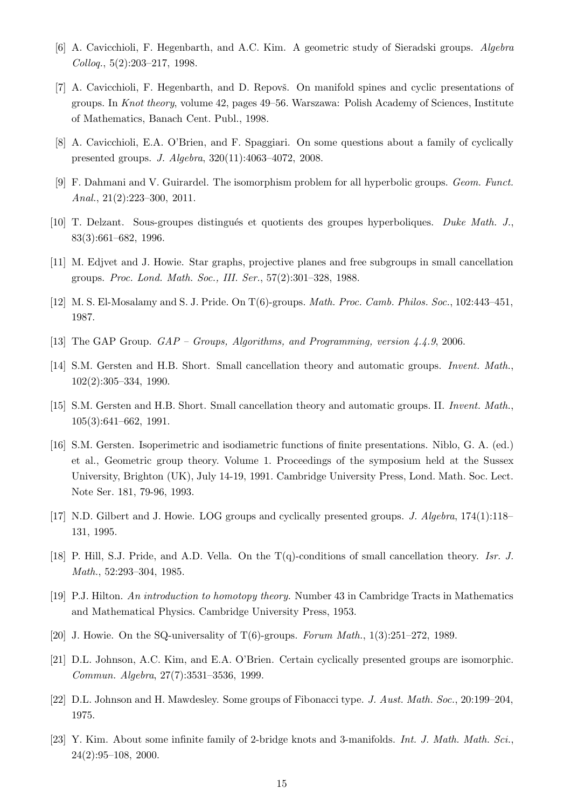- [6] A. Cavicchioli, F. Hegenbarth, and A.C. Kim. A geometric study of Sieradski groups. Algebra Colloq., 5(2):203–217, 1998.
- [7] A. Cavicchioli, F. Hegenbarth, and D. Repovš. On manifold spines and cyclic presentations of groups. In Knot theory, volume 42, pages 49–56. Warszawa: Polish Academy of Sciences, Institute of Mathematics, Banach Cent. Publ., 1998.
- [8] A. Cavicchioli, E.A. O'Brien, and F. Spaggiari. On some questions about a family of cyclically presented groups. J. Algebra, 320(11):4063–4072, 2008.
- [9] F. Dahmani and V. Guirardel. The isomorphism problem for all hyperbolic groups. Geom. Funct. Anal., 21(2):223–300, 2011.
- [10] T. Delzant. Sous-groupes distingu´es et quotients des groupes hyperboliques. Duke Math. J., 83(3):661–682, 1996.
- [11] M. Edjvet and J. Howie. Star graphs, projective planes and free subgroups in small cancellation groups. Proc. Lond. Math. Soc., III. Ser., 57(2):301–328, 1988.
- [12] M. S. El-Mosalamy and S. J. Pride. On T(6)-groups. Math. Proc. Camb. Philos. Soc., 102:443–451, 1987.
- [13] The GAP Group. GAP Groups, Algorithms, and Programming, version 4.4.9, 2006.
- [14] S.M. Gersten and H.B. Short. Small cancellation theory and automatic groups. Invent. Math., 102(2):305–334, 1990.
- [15] S.M. Gersten and H.B. Short. Small cancellation theory and automatic groups. II. Invent. Math., 105(3):641–662, 1991.
- [16] S.M. Gersten. Isoperimetric and isodiametric functions of finite presentations. Niblo, G. A. (ed.) et al., Geometric group theory. Volume 1. Proceedings of the symposium held at the Sussex University, Brighton (UK), July 14-19, 1991. Cambridge University Press, Lond. Math. Soc. Lect. Note Ser. 181, 79-96, 1993.
- [17] N.D. Gilbert and J. Howie. LOG groups and cyclically presented groups. J. Algebra, 174(1):118– 131, 1995.
- [18] P. Hill, S.J. Pride, and A.D. Vella. On the T(q)-conditions of small cancellation theory. Isr. J. Math., 52:293–304, 1985.
- [19] P.J. Hilton. An introduction to homotopy theory. Number 43 in Cambridge Tracts in Mathematics and Mathematical Physics. Cambridge University Press, 1953.
- [20] J. Howie. On the SQ-universality of  $T(6)$ -groups. Forum Math., 1(3):251–272, 1989.
- [21] D.L. Johnson, A.C. Kim, and E.A. O'Brien. Certain cyclically presented groups are isomorphic. Commun. Algebra, 27(7):3531–3536, 1999.
- [22] D.L. Johnson and H. Mawdesley. Some groups of Fibonacci type. J. Aust. Math. Soc., 20:199–204, 1975.
- [23] Y. Kim. About some infinite family of 2-bridge knots and 3-manifolds. Int. J. Math. Math. Sci., 24(2):95–108, 2000.